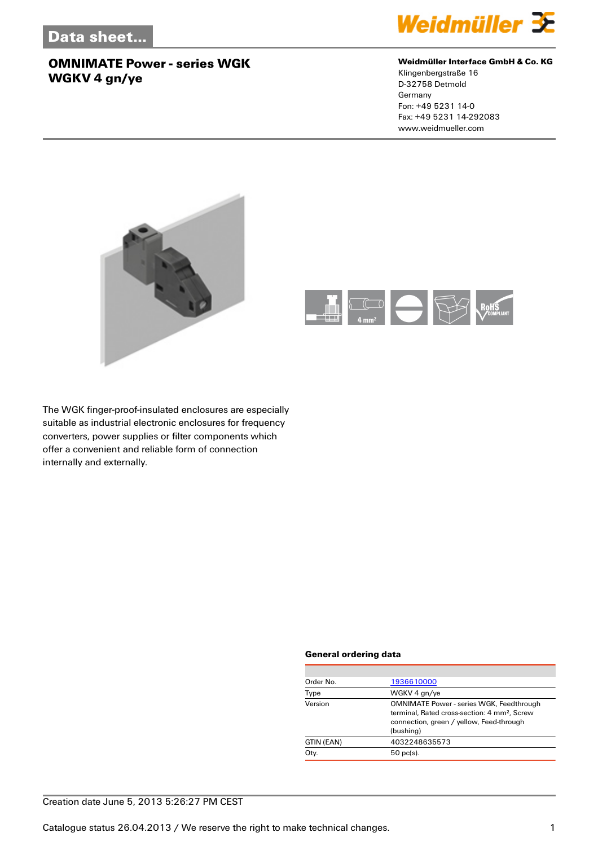

#### **Weidmüller Interface GmbH & Co. KG**

Klingenbergstraße 16 D-32758 Detmold Germany Fon: +49 5231 14-0 Fax: +49 5231 14-292083 www.weidmueller.com





The WGK finger-proof-insulated enclosures are especially suitable as industrial electronic enclosures for frequency converters, power supplies or filter components which offer a convenient and reliable form of connection internally and externally.

#### **General ordering data**

| Order No.  | 1936610000                                                                                                                                                           |
|------------|----------------------------------------------------------------------------------------------------------------------------------------------------------------------|
| Type       | WGKV 4 gn/ye                                                                                                                                                         |
| Version    | <b>OMNIMATE Power - series WGK, Feedthrough</b><br>terminal. Rated cross-section: 4 mm <sup>2</sup> . Screw<br>connection, green / yellow, Feed-through<br>(bushing) |
| GTIN (EAN) | 4032248635573                                                                                                                                                        |
| Qty.       | $50$ pc(s).                                                                                                                                                          |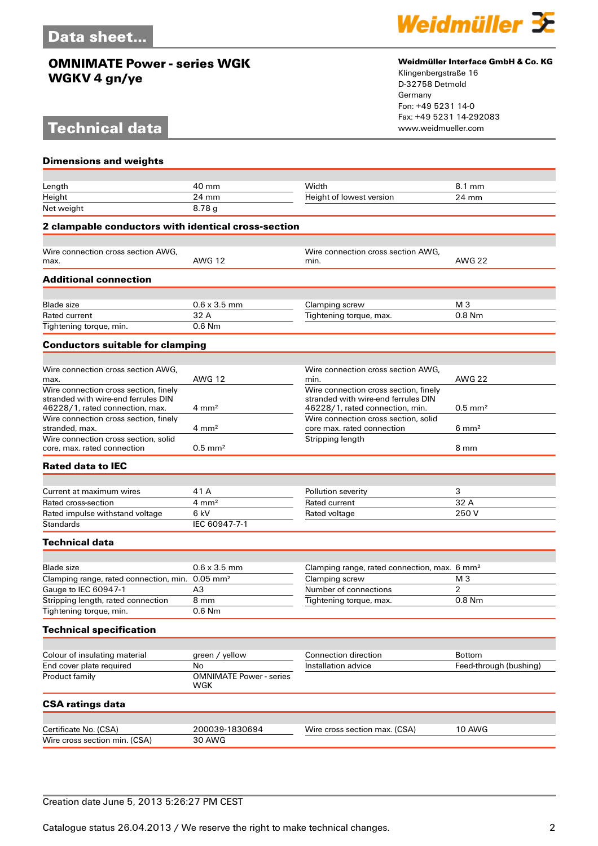# **Technical data**



#### **Weidmüller Interface GmbH & Co. KG**

Klingenbergstraße 16 D-32758 Detmold Germany Fon: +49 5231 14-0 Fax: +49 5231 14-292083

| <b>Dimensions and weights</b>                                                |                                       |                                                                              |                        |
|------------------------------------------------------------------------------|---------------------------------------|------------------------------------------------------------------------------|------------------------|
|                                                                              |                                       |                                                                              |                        |
| Length                                                                       | 40 mm                                 | Width                                                                        | 8.1 mm                 |
| Height                                                                       | 24 mm                                 | Height of lowest version                                                     | 24 mm                  |
| Net weight                                                                   | 8.78g                                 |                                                                              |                        |
| 2 clampable conductors with identical cross-section                          |                                       |                                                                              |                        |
|                                                                              |                                       |                                                                              |                        |
| Wire connection cross section AWG,                                           |                                       | Wire connection cross section AWG,                                           |                        |
| max.                                                                         | <b>AWG 12</b>                         | min.                                                                         | <b>AWG 22</b>          |
| <b>Additional connection</b>                                                 |                                       |                                                                              |                        |
|                                                                              |                                       |                                                                              |                        |
| <b>Blade</b> size                                                            | $0.6 \times 3.5$ mm                   | Clamping screw                                                               | M <sub>3</sub>         |
| Rated current                                                                | 32 A                                  | Tightening torque, max.                                                      | $0.8$ Nm               |
| Tightening torque, min.                                                      | $0.6$ Nm                              |                                                                              |                        |
| <b>Conductors suitable for clamping</b>                                      |                                       |                                                                              |                        |
|                                                                              |                                       |                                                                              |                        |
| Wire connection cross section AWG.                                           |                                       | Wire connection cross section AWG.                                           |                        |
| max.                                                                         | <b>AWG 12</b>                         | min.                                                                         | <b>AWG 22</b>          |
| Wire connection cross section, finely<br>stranded with wire-end ferrules DIN |                                       | Wire connection cross section, finely<br>stranded with wire-end ferrules DIN |                        |
| 46228/1, rated connection, max.                                              | $4 \text{ mm}^2$                      | 46228/1, rated connection, min.                                              | $0.5$ mm <sup>2</sup>  |
| Wire connection cross section, finely                                        |                                       | Wire connection cross section, solid                                         |                        |
| stranded, max.                                                               | $4 \text{ mm}^2$                      | core max. rated connection                                                   | $6 \text{ mm}^2$       |
| Wire connection cross section, solid                                         |                                       | Stripping length                                                             |                        |
| core, max, rated connection                                                  | $0.5$ mm <sup>2</sup>                 |                                                                              | 8 mm                   |
| <b>Rated data to IEC</b>                                                     |                                       |                                                                              |                        |
|                                                                              |                                       |                                                                              |                        |
| Current at maximum wires                                                     | 41 A                                  | Pollution severity                                                           | 3                      |
| Rated cross-section                                                          | $4 \text{ mm}^2$                      | Rated current                                                                | 32 A                   |
| Rated impulse withstand voltage                                              | 6 kV                                  | Rated voltage                                                                | 250V                   |
| <b>Standards</b>                                                             | IEC 60947-7-1                         |                                                                              |                        |
| <b>Technical data</b>                                                        |                                       |                                                                              |                        |
|                                                                              |                                       |                                                                              |                        |
| <b>Blade</b> size                                                            | $0.6 \times 3.5$ mm                   | Clamping range, rated connection, max. 6 mm <sup>2</sup>                     |                        |
| Clamping range, rated connection, min. 0.05 mm <sup>2</sup>                  |                                       | Clamping screw                                                               | M <sub>3</sub>         |
| Gauge to IEC 60947-1                                                         | A <sub>3</sub>                        | Number of connections                                                        | 2                      |
| Stripping length, rated connection                                           | 8 mm                                  | Tightening torque, max.                                                      | $0.8$ Nm               |
| Tightening torque, min.                                                      | 0.6 Nm                                |                                                                              |                        |
| <b>Technical specification</b>                                               |                                       |                                                                              |                        |
|                                                                              |                                       |                                                                              |                        |
| Colour of insulating material                                                | green / yellow                        | <b>Connection direction</b>                                                  | <b>Bottom</b>          |
| End cover plate required                                                     | No                                    | Installation advice                                                          | Feed-through (bushing) |
| Product family                                                               | <b>OMNIMATE Power - series</b><br>WGK |                                                                              |                        |
| <b>CSA ratings data</b>                                                      |                                       |                                                                              |                        |
|                                                                              |                                       |                                                                              |                        |
| Certificate No. (CSA)                                                        | 200039-1830694                        | Wire cross section max. (CSA)                                                | 10 AWG                 |
| Wire cross section min. (CSA)                                                | <b>30 AWG</b>                         |                                                                              |                        |

### Creation date June 5, 2013 5:26:27 PM CEST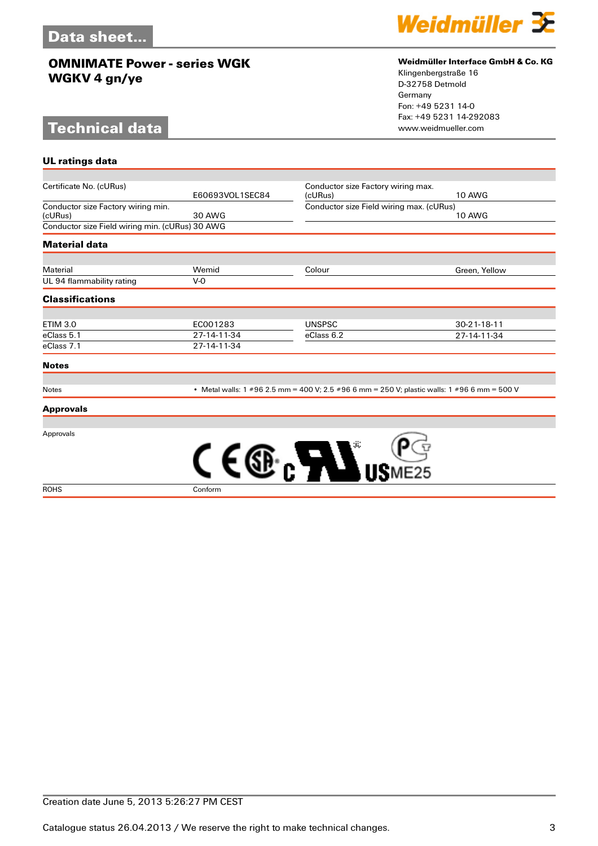# **Technical data**

**UL ratings data**



#### **Weidmüller Interface GmbH & Co. KG**

Klingenbergstraße 16 D-32758 Detmold Germany Fon: +49 5231 14-0 Fax: +49 5231 14-292083

| Certificate No. (cURus)                         |                                                                                              |                                          | Conductor size Factory wiring max. |  |
|-------------------------------------------------|----------------------------------------------------------------------------------------------|------------------------------------------|------------------------------------|--|
|                                                 | E60693VOL1SEC84                                                                              | (cURus)                                  | <b>10 AWG</b>                      |  |
| Conductor size Factory wiring min.              |                                                                                              | Conductor size Field wiring max. (cURus) |                                    |  |
| (cURus)                                         | 30 AWG                                                                                       |                                          | <b>10 AWG</b>                      |  |
| Conductor size Field wiring min. (cURus) 30 AWG |                                                                                              |                                          |                                    |  |
| <b>Material data</b>                            |                                                                                              |                                          |                                    |  |
|                                                 |                                                                                              |                                          |                                    |  |
| Material                                        | Wemid                                                                                        | Colour                                   | Green, Yellow                      |  |
| UL 94 flammability rating                       | V-0                                                                                          |                                          |                                    |  |
| <b>Classifications</b>                          |                                                                                              |                                          |                                    |  |
|                                                 |                                                                                              |                                          |                                    |  |
| <b>ETIM 3.0</b>                                 | EC001283                                                                                     | <b>UNSPSC</b>                            | $30 - 21 - 18 - 11$                |  |
| eClass 5.1                                      | 27-14-11-34                                                                                  | eClass 6.2                               | 27-14-11-34                        |  |
| eClass 7.1                                      | 27-14-11-34                                                                                  |                                          |                                    |  |
| <b>Notes</b>                                    |                                                                                              |                                          |                                    |  |
|                                                 |                                                                                              |                                          |                                    |  |
| <b>Notes</b>                                    | • Metal walls: 1 #96 2.5 mm = 400 V; 2.5 #96 6 mm = 250 V; plastic walls: 1 #96 6 mm = 500 V |                                          |                                    |  |

Approvals

**Approvals**



Creation date June 5, 2013 5:26:27 PM CEST